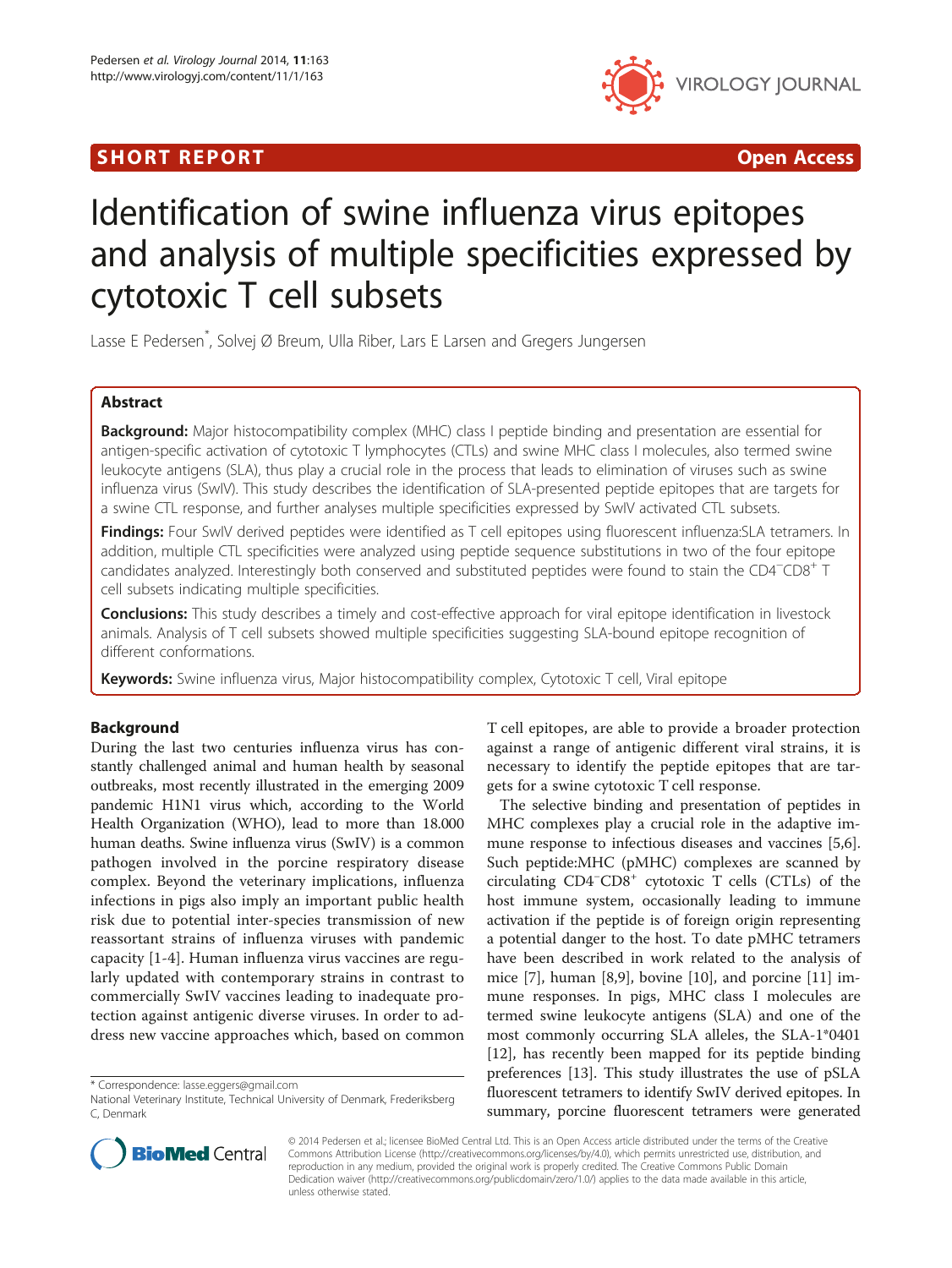## SHORT REPORT **The Contract of the Contract Open Access** (SHORT **Contract of the Contract Open Access**



# Identification of swine influenza virus epitopes and analysis of multiple specificities expressed by cytotoxic T cell subsets

Lasse E Pedersen\* , Solvej Ø Breum, Ulla Riber, Lars E Larsen and Gregers Jungersen

## Abstract

Background: Major histocompatibility complex (MHC) class I peptide binding and presentation are essential for antigen-specific activation of cytotoxic T lymphocytes (CTLs) and swine MHC class I molecules, also termed swine leukocyte antigens (SLA), thus play a crucial role in the process that leads to elimination of viruses such as swine influenza virus (SwIV). This study describes the identification of SLA-presented peptide epitopes that are targets for a swine CTL response, and further analyses multiple specificities expressed by SwIV activated CTL subsets.

Findings: Four SwIV derived peptides were identified as T cell epitopes using fluorescent influenza: SLA tetramers. In addition, multiple CTL specificities were analyzed using peptide sequence substitutions in two of the four epitope candidates analyzed. Interestingly both conserved and substituted peptides were found to stain the CD4<sup>−</sup> CD8<sup>+</sup> T cell subsets indicating multiple specificities.

**Conclusions:** This study describes a timely and cost-effective approach for viral epitope identification in livestock animals. Analysis of T cell subsets showed multiple specificities suggesting SLA-bound epitope recognition of different conformations.

**Keywords:** Swine influenza virus, Major histocompatibility complex, Cytotoxic T cell, Viral epitope

## Background

During the last two centuries influenza virus has constantly challenged animal and human health by seasonal outbreaks, most recently illustrated in the emerging 2009 pandemic H1N1 virus which, according to the World Health Organization (WHO), lead to more than 18.000 human deaths. Swine influenza virus (SwIV) is a common pathogen involved in the porcine respiratory disease complex. Beyond the veterinary implications, influenza infections in pigs also imply an important public health risk due to potential inter-species transmission of new reassortant strains of influenza viruses with pandemic capacity [\[1](#page-3-0)-[4\]](#page-4-0). Human influenza virus vaccines are regularly updated with contemporary strains in contrast to commercially SwIV vaccines leading to inadequate protection against antigenic diverse viruses. In order to address new vaccine approaches which, based on common

\* Correspondence: [lasse.eggers@gmail.com](mailto:lasse.eggers@gmail.com)



The selective binding and presentation of peptides in MHC complexes play a crucial role in the adaptive immune response to infectious diseases and vaccines [\[5,6](#page-4-0)]. Such peptide:MHC (pMHC) complexes are scanned by circulating CD4<sup>−</sup> CD8<sup>+</sup> cytotoxic T cells (CTLs) of the host immune system, occasionally leading to immune activation if the peptide is of foreign origin representing a potential danger to the host. To date pMHC tetramers have been described in work related to the analysis of mice [[7\]](#page-4-0), human [[8](#page-4-0),[9](#page-4-0)], bovine [[10\]](#page-4-0), and porcine [[11\]](#page-4-0) immune responses. In pigs, MHC class I molecules are termed swine leukocyte antigens (SLA) and one of the most commonly occurring SLA alleles, the SLA-1\*0401 [[12\]](#page-4-0), has recently been mapped for its peptide binding preferences [[13](#page-4-0)]. This study illustrates the use of pSLA fluorescent tetramers to identify SwIV derived epitopes. In summary, porcine fluorescent tetramers were generated



© 2014 Pedersen et al.; licensee BioMed Central Ltd. This is an Open Access article distributed under the terms of the Creative Commons Attribution License [\(http://creativecommons.org/licenses/by/4.0\)](http://creativecommons.org/licenses/by/4.0), which permits unrestricted use, distribution, and reproduction in any medium, provided the original work is properly credited. The Creative Commons Public Domain Dedication waiver [\(http://creativecommons.org/publicdomain/zero/1.0/](http://creativecommons.org/publicdomain/zero/1.0/)) applies to the data made available in this article, unless otherwise stated.

National Veterinary Institute, Technical University of Denmark, Frederiksberg C, Denmark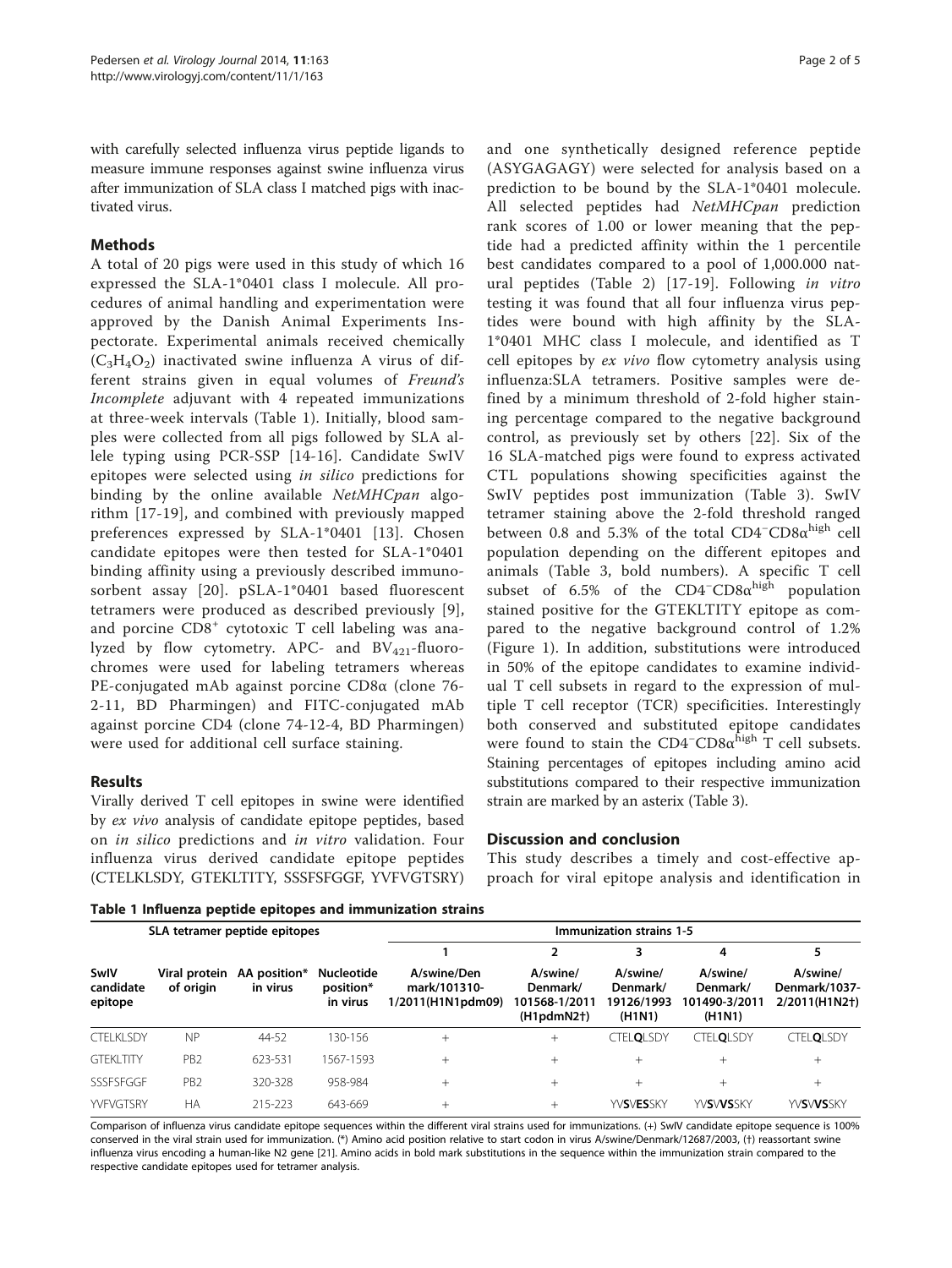with carefully selected influenza virus peptide ligands to measure immune responses against swine influenza virus after immunization of SLA class I matched pigs with inactivated virus.

## Methods

A total of 20 pigs were used in this study of which 16 expressed the SLA-1\*0401 class I molecule. All procedures of animal handling and experimentation were approved by the Danish Animal Experiments Inspectorate. Experimental animals received chemically  $(C_3H_4O_2)$  inactivated swine influenza A virus of different strains given in equal volumes of Freund's Incomplete adjuvant with 4 repeated immunizations at three-week intervals (Table 1). Initially, blood samples were collected from all pigs followed by SLA allele typing using PCR-SSP [\[14](#page-4-0)-[16](#page-4-0)]. Candidate SwIV epitopes were selected using in silico predictions for binding by the online available NetMHCpan algorithm [[17-19\]](#page-4-0), and combined with previously mapped preferences expressed by SLA-1\*0401 [[13\]](#page-4-0). Chosen candidate epitopes were then tested for SLA-1\*0401 binding affinity using a previously described immunosorbent assay [[20](#page-4-0)]. pSLA-1\*0401 based fluorescent tetramers were produced as described previously [[9](#page-4-0)], and porcine CD8<sup>+</sup> cytotoxic T cell labeling was analyzed by flow cytometry. APC- and  $BV_{421}$ -fluorochromes were used for labeling tetramers whereas PE-conjugated mAb against porcine CD8α (clone 76- 2-11, BD Pharmingen) and FITC-conjugated mAb against porcine CD4 (clone 74-12-4, BD Pharmingen) were used for additional cell surface staining.

## Results

Virally derived T cell epitopes in swine were identified by ex vivo analysis of candidate epitope peptides, based on in silico predictions and in vitro validation. Four influenza virus derived candidate epitope peptides (CTELKLSDY, GTEKLTITY, SSSFSFGGF, YVFVGTSRY)

and one synthetically designed reference peptide (ASYGAGAGY) were selected for analysis based on a prediction to be bound by the SLA-1\*0401 molecule. All selected peptides had NetMHCpan prediction rank scores of 1.00 or lower meaning that the peptide had a predicted affinity within the 1 percentile best candidates compared to a pool of 1,000.000 natural peptides (Table [2](#page-2-0)) [\[17](#page-4-0)-[19](#page-4-0)]. Following in vitro testing it was found that all four influenza virus peptides were bound with high affinity by the SLA-1\*0401 MHC class I molecule, and identified as T cell epitopes by ex vivo flow cytometry analysis using influenza:SLA tetramers. Positive samples were defined by a minimum threshold of 2-fold higher staining percentage compared to the negative background control, as previously set by others [[22\]](#page-4-0). Six of the 16 SLA-matched pigs were found to express activated CTL populations showing specificities against the SwIV peptides post immunization (Table [3\)](#page-2-0). SwIV tetramer staining above the 2-fold threshold ranged between 0.8 and 5.3% of the total CD4<sup>-</sup>CD8α<sup>high</sup> cell population depending on the different epitopes and animals (Table [3](#page-2-0), bold numbers). A specific T cell subset of 6.5% of the CD4<sup>-</sup>CD8α<sup>high</sup> population stained positive for the GTEKLTITY epitope as compared to the negative background control of 1.2% (Figure [1](#page-3-0)). In addition, substitutions were introduced in 50% of the epitope candidates to examine individual T cell subsets in regard to the expression of multiple T cell receptor (TCR) specificities. Interestingly both conserved and substituted epitope candidates were found to stain the CD4<sup>-</sup>CD8α<sup>high</sup> T cell subsets. Staining percentages of epitopes including amino acid substitutions compared to their respective immunization strain are marked by an asterix (Table [3](#page-2-0)).

## Discussion and conclusion

This study describes a timely and cost-effective approach for viral epitope analysis and identification in

Table 1 Influenza peptide epitopes and immunization strains

| SLA tetramer peptide epitopes |                            |                          |                                            | Immunization strains 1-5                         |                                                       |                                              |                                                 |                                            |
|-------------------------------|----------------------------|--------------------------|--------------------------------------------|--------------------------------------------------|-------------------------------------------------------|----------------------------------------------|-------------------------------------------------|--------------------------------------------|
|                               |                            |                          |                                            |                                                  |                                                       |                                              | 4                                               | 5                                          |
| SwIV<br>candidate<br>epitope  | Viral protein<br>of origin | AA position*<br>in virus | <b>Nucleotide</b><br>position*<br>in virus | A/swine/Den<br>mark/101310-<br>1/2011(H1N1pdm09) | A/swine/<br>Denmark/<br>101568-1/2011<br>$(H1pdmN2+)$ | A/swine/<br>Denmark/<br>19126/1993<br>(H1N1) | A/swine/<br>Denmark/<br>101490-3/2011<br>(H1N1) | A/swine/<br>Denmark/1037-<br>2/2011(H1N2†) |
| <b>CTELKLSDY</b>              | <b>NP</b>                  | 44-52                    | 130-156                                    | $^{+}$                                           | $^{+}$                                                | <b>CTELOLSDY</b>                             | $CTFI$ OI SDY                                   | <b>CTELOLSDY</b>                           |
| <b>GTEKLTITY</b>              | PB <sub>2</sub>            | 623-531                  | 1567-1593                                  | $^{+}$                                           | $+$                                                   | $^{+}$                                       | $^{+}$                                          | $^{+}$                                     |
| SSSFSFGGF                     | PB <sub>2</sub>            | 320-328                  | 958-984                                    | $^{+}$                                           | $^{+}$                                                | $^{+}$                                       | $^{+}$                                          | $^{+}$                                     |
| YVFVGTSRY                     | НA                         | 215-223                  | 643-669                                    | $^{+}$                                           |                                                       | <b>YVSVESSKY</b>                             | <b>YVSVVSSKY</b>                                | <b>YVSVVSSKY</b>                           |

Comparison of influenza virus candidate epitope sequences within the different viral strains used for immunizations. (+) SwIV candidate epitope sequence is 100% conserved in the viral strain used for immunization. (\*) Amino acid position relative to start codon in virus A/swine/Denmark/12687/2003, (†) reassortant swine influenza virus encoding a human-like N2 gene [[21\]](#page-4-0). Amino acids in bold mark substitutions in the sequence within the immunization strain compared to the respective candidate epitopes used for tetramer analysis.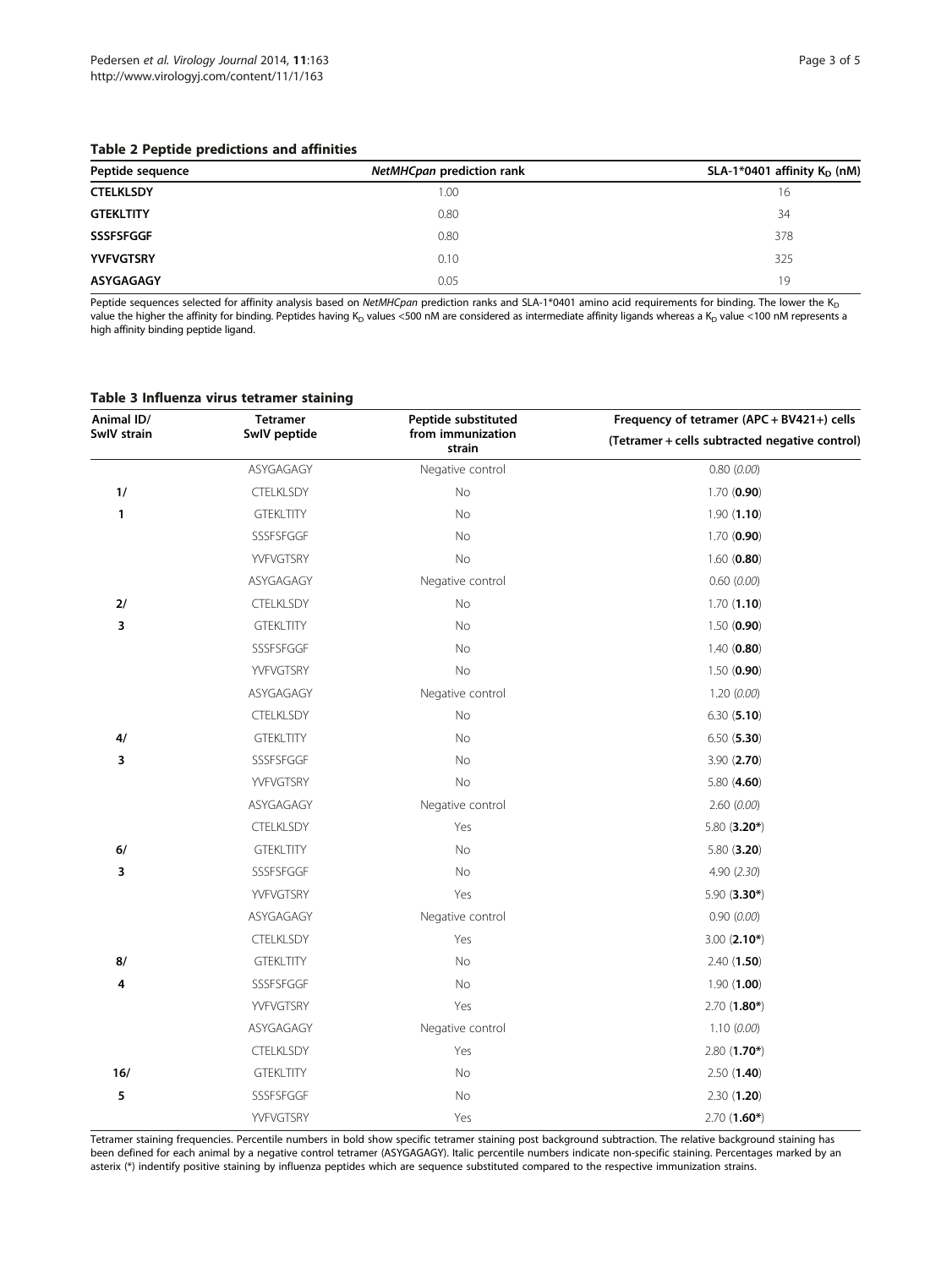## <span id="page-2-0"></span>Table 2 Peptide predictions and affinities

| Peptide sequence | NetMHCpan prediction rank | SLA-1*0401 affinity $K_D$ (nM) |
|------------------|---------------------------|--------------------------------|
| <b>CTELKLSDY</b> | 1.00                      | 16                             |
| <b>GTEKLTITY</b> | 0.80                      | 34                             |
| <b>SSSFSFGGF</b> | 0.80                      | 378                            |
| <b>YVFVGTSRY</b> | 0.10                      | 325                            |
| ASYGAGAGY        | 0.05                      | 19                             |

Peptide sequences selected for affinity analysis based on NetMHCpan prediction ranks and SLA-1\*0401 amino acid requirements for binding. The lower the K<sub>D</sub> value the higher the affinity for binding. Peptides having K<sub>D</sub> values <500 nM are considered as intermediate affinity ligands whereas a K<sub>D</sub> value <100 nM represents a high affinity binding peptide ligand.

#### Table 3 Influenza virus tetramer staining

| Animal ID/  | <b>Tetramer</b>  | Peptide substituted         | Frequency of tetramer (APC + BV421+) cells<br>(Tetramer + cells subtracted negative control) |  |
|-------------|------------------|-----------------------------|----------------------------------------------------------------------------------------------|--|
| SwIV strain | SwIV peptide     | from immunization<br>strain |                                                                                              |  |
|             | ASYGAGAGY        | Negative control            | 0.80(0.00)                                                                                   |  |
| 1/          | <b>CTELKLSDY</b> | No                          | 1.70(0.90)                                                                                   |  |
| 1           | <b>GTEKLTITY</b> | No                          | 1.90(1.10)                                                                                   |  |
|             | SSSFSFGGF        | No                          | 1.70(0.90)                                                                                   |  |
|             | YVFVGTSRY        | No                          | $1.60$ (0.80)                                                                                |  |
|             | ASYGAGAGY        | Negative control            | 0.60 (0.00)                                                                                  |  |
| 2/          | <b>CTELKLSDY</b> | No                          | 1.70(1.10)                                                                                   |  |
| 3           | <b>GTEKLTITY</b> | No                          | 1.50(0.90)                                                                                   |  |
|             | SSSFSFGGF        | No                          | 1.40(0.80)                                                                                   |  |
|             | YVFVGTSRY        | No                          | 1.50(0.90)                                                                                   |  |
|             | ASYGAGAGY        | Negative control            | 1.20(0.00)                                                                                   |  |
|             | <b>CTELKLSDY</b> | No                          | 6.30(5.10)                                                                                   |  |
| 4/          | <b>GTEKLTITY</b> | No                          | 6.50(5.30)                                                                                   |  |
| 3           | SSSFSFGGF        | No                          | 3.90(2.70)                                                                                   |  |
|             | YVFVGTSRY        | No                          | 5.80 $(4.60)$                                                                                |  |
|             | ASYGAGAGY        | Negative control            | 2.60(0.00)                                                                                   |  |
|             | <b>CTELKLSDY</b> | Yes                         | 5.80 (3.20*)                                                                                 |  |
| 6/          | <b>GTEKLTITY</b> | No                          | 5.80(3.20)                                                                                   |  |
| 3           | SSSFSFGGF        | No                          | 4.90 (2.30)                                                                                  |  |
|             | YVFVGTSRY        | Yes                         | 5.90 $(3.30*)$                                                                               |  |
|             | ASYGAGAGY        | Negative control            | 0.90(0.00)                                                                                   |  |
|             | <b>CTELKLSDY</b> | Yes                         | $3.00(2.10*)$                                                                                |  |
| 8/          | <b>GTEKLTITY</b> | No                          | 2.40(1.50)                                                                                   |  |
| 4           | SSSFSFGGF        | No                          | 1.90(1.00)                                                                                   |  |
|             | YVFVGTSRY        | Yes                         | $2.70(1.80*)$                                                                                |  |
|             | ASYGAGAGY        | Negative control            | 1.10(0.00)                                                                                   |  |
|             | <b>CTELKLSDY</b> | Yes                         | $2.80(1.70*)$                                                                                |  |
| 16/         | <b>GTEKLTITY</b> | No                          | 2.50(1.40)                                                                                   |  |
| 5           | SSSFSFGGF        | No                          | 2.30(1.20)                                                                                   |  |
|             | YVFVGTSRY        | Yes                         | $2.70(1.60*)$                                                                                |  |

Tetramer staining frequencies. Percentile numbers in bold show specific tetramer staining post background subtraction. The relative background staining has been defined for each animal by a negative control tetramer (ASYGAGAGY). Italic percentile numbers indicate non-specific staining. Percentages marked by an asterix (\*) indentify positive staining by influenza peptides which are sequence substituted compared to the respective immunization strains.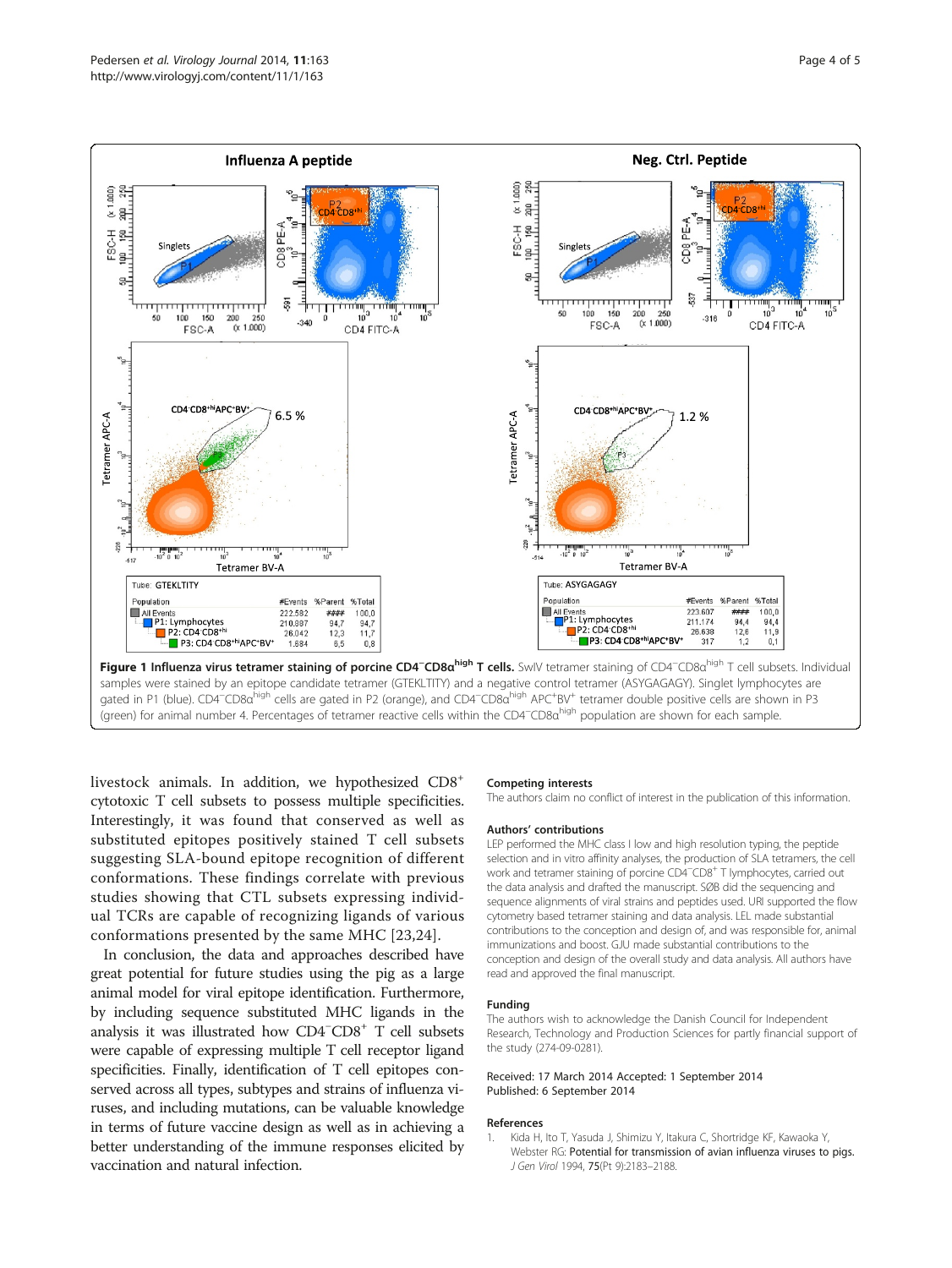<span id="page-3-0"></span>

livestock animals. In addition, we hypothesized CD8+ cytotoxic T cell subsets to possess multiple specificities. Interestingly, it was found that conserved as well as substituted epitopes positively stained T cell subsets suggesting SLA-bound epitope recognition of different conformations. These findings correlate with previous studies showing that CTL subsets expressing individual TCRs are capable of recognizing ligands of various conformations presented by the same MHC [[23,24](#page-4-0)].

In conclusion, the data and approaches described have great potential for future studies using the pig as a large animal model for viral epitope identification. Furthermore, by including sequence substituted MHC ligands in the analysis it was illustrated how CD4<sup>−</sup> CD8+ T cell subsets were capable of expressing multiple T cell receptor ligand specificities. Finally, identification of T cell epitopes conserved across all types, subtypes and strains of influenza viruses, and including mutations, can be valuable knowledge in terms of future vaccine design as well as in achieving a better understanding of the immune responses elicited by vaccination and natural infection.

#### Competing interests

The authors claim no conflict of interest in the publication of this information.

#### Authors' contributions

LEP performed the MHC class I low and high resolution typing, the peptide selection and in vitro affinity analyses, the production of SLA tetramers, the cell work and tetramer staining of porcine CD4<sup>--</sup>CD8<sup>+</sup> T lymphocytes, carried out the data analysis and drafted the manuscript. SØB did the sequencing and sequence alignments of viral strains and peptides used. URI supported the flow cytometry based tetramer staining and data analysis. LEL made substantial contributions to the conception and design of, and was responsible for, animal immunizations and boost. GJU made substantial contributions to the conception and design of the overall study and data analysis. All authors have read and approved the final manuscript.

#### Funding

The authors wish to acknowledge the Danish Council for Independent Research, Technology and Production Sciences for partly financial support of the study (274-09-0281).

#### Received: 17 March 2014 Accepted: 1 September 2014 Published: 6 September 2014

#### References

1. Kida H, Ito T, Yasuda J, Shimizu Y, Itakura C, Shortridge KF, Kawaoka Y, Webster RG: Potential for transmission of avian influenza viruses to pigs. J Gen Virol 1994, 75(Pt 9):2183–2188.